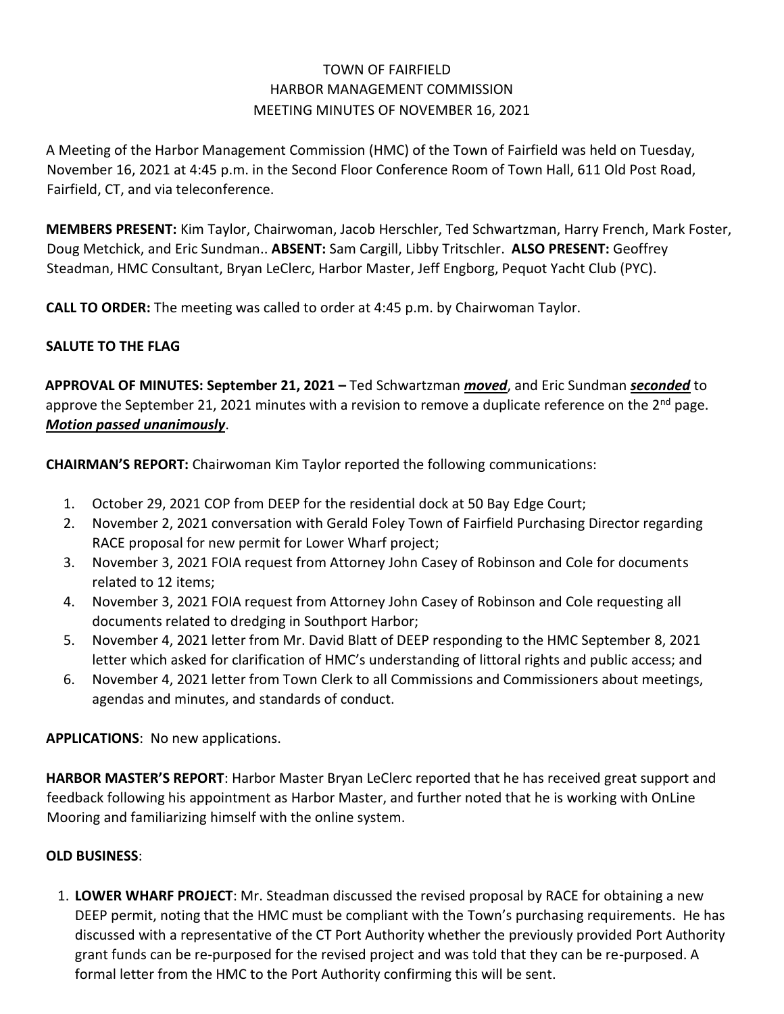## TOWN OF FAIRFIELD HARBOR MANAGEMENT COMMISSION MEETING MINUTES OF NOVEMBER 16, 2021

A Meeting of the Harbor Management Commission (HMC) of the Town of Fairfield was held on Tuesday, November 16, 2021 at 4:45 p.m. in the Second Floor Conference Room of Town Hall, 611 Old Post Road, Fairfield, CT, and via teleconference.

**MEMBERS PRESENT:** Kim Taylor, Chairwoman, Jacob Herschler, Ted Schwartzman, Harry French, Mark Foster, Doug Metchick, and Eric Sundman.. **ABSENT:** Sam Cargill, Libby Tritschler. **ALSO PRESENT:** Geoffrey Steadman, HMC Consultant, Bryan LeClerc, Harbor Master, Jeff Engborg, Pequot Yacht Club (PYC).

**CALL TO ORDER:** The meeting was called to order at 4:45 p.m. by Chairwoman Taylor.

## **SALUTE TO THE FLAG**

**APPROVAL OF MINUTES: September 21, 2021 –** Ted Schwartzman *moved*, and Eric Sundman *seconded* to approve the September 21, 2021 minutes with a revision to remove a duplicate reference on the  $2<sup>nd</sup>$  page. *Motion passed unanimously*.

**CHAIRMAN'S REPORT:** Chairwoman Kim Taylor reported the following communications:

- 1. October 29, 2021 COP from DEEP for the residential dock at 50 Bay Edge Court;
- 2. November 2, 2021 conversation with Gerald Foley Town of Fairfield Purchasing Director regarding RACE proposal for new permit for Lower Wharf project;
- 3. November 3, 2021 FOIA request from Attorney John Casey of Robinson and Cole for documents related to 12 items;
- 4. November 3, 2021 FOIA request from Attorney John Casey of Robinson and Cole requesting all documents related to dredging in Southport Harbor;
- 5. November 4, 2021 letter from Mr. David Blatt of DEEP responding to the HMC September 8, 2021 letter which asked for clarification of HMC's understanding of littoral rights and public access; and
- 6. November 4, 2021 letter from Town Clerk to all Commissions and Commissioners about meetings, agendas and minutes, and standards of conduct.

**APPLICATIONS**: No new applications.

**HARBOR MASTER'S REPORT**: Harbor Master Bryan LeClerc reported that he has received great support and feedback following his appointment as Harbor Master, and further noted that he is working with OnLine Mooring and familiarizing himself with the online system.

## **OLD BUSINESS**:

1. **LOWER WHARF PROJECT**: Mr. Steadman discussed the revised proposal by RACE for obtaining a new DEEP permit, noting that the HMC must be compliant with the Town's purchasing requirements. He has discussed with a representative of the CT Port Authority whether the previously provided Port Authority grant funds can be re-purposed for the revised project and was told that they can be re-purposed. A formal letter from the HMC to the Port Authority confirming this will be sent.